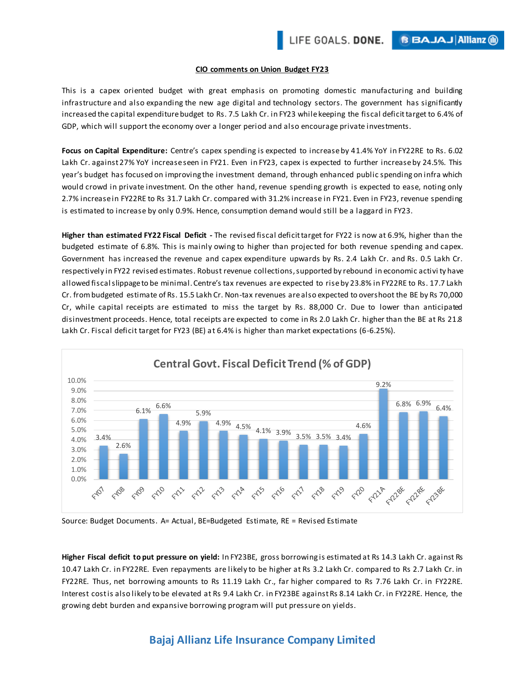**BBAJAJAIIianz** (ii)

### **CIO comments on Union Budget FY23**

This is a capex oriented budget with great emphasis on promoting domestic manufacturing and building infrastructure and also expanding the new age digital and technology sectors. The government has significantly increased the capital expenditure budget to Rs. 7.5 Lakh Cr. in FY23 while keeping the fiscal deficit target to 6.4% of GDP, which will support the economy over a longer period and also encourage private investments.

**Focus on Capital Expenditure:** Centre's capex spending is expected to increase by 41.4% YoY in FY22RE to Rs. 6.02 Lakh Cr. against 27% YoY increase seen in FY21. Even in FY23, capex is expected to further increase by 24.5%. This year's budget has focused on improving the investment demand, through enhanced public spending on infra which would crowd in private investment. On the other hand, revenue spending growth is expected to ease, noting only 2.7% increase in FY22RE to Rs 31.7 Lakh Cr. compared with 31.2% increase in FY21. Even in FY23, revenue spending is estimated to increase by only 0.9%. Hence, consumption demand would still be a laggard in FY23.

**Higher than estimated FY22 Fiscal Deficit -** The revised fiscal deficit target for FY22 is now at 6.9%, higher than the budgeted estimate of 6.8%. This is mainly owing to higher than projec ted for both revenue spending and capex. Government has increased the revenue and capex expenditure upwards by Rs. 2.4 Lakh Cr. and Rs. 0.5 Lakh Cr. respectively in FY22 revised estimates. Robust revenue collections, supported by rebound in economic activi ty have allowed fiscal slippage to be minimal. Centre's tax revenues are expected to rise by 23.8% in FY22RE to Rs. 17.7 Lakh Cr. from budgeted estimate of Rs. 15.5 Lakh Cr. Non-tax revenues are also expected to overshoot the BE by Rs 70,000 Cr, while capital receipts are estimated to miss the target by Rs. 88,000 Cr. Due to lower than anticipated disinvestment proceeds. Hence, total receipts are expected to come in Rs 2.0 Lakh Cr. higher than the BE at Rs 21.8 Lakh Cr. Fiscal deficit target for FY23 (BE) at 6.4% is higher than market expectations (6-6.25%).



Source: Budget Documents. A= Actual, BE=Budgeted Estimate, RE = Revised Estimate

**Higher Fiscal deficit to put pressure on yield:** In FY23BE, gross borrowing is estimated at Rs 14.3 Lakh Cr. against Rs 10.47 Lakh Cr. in FY22RE. Even repayments are likely to be higher at Rs 3.2 Lakh Cr. compared to Rs 2.7 Lakh Cr. in FY22RE. Thus, net borrowing amounts to Rs 11.19 Lakh Cr., far higher compared to Rs 7.76 Lakh Cr. in FY22RE. Interest cost is also likely to be elevated at Rs 9.4 Lakh Cr. in FY23BE against Rs 8.14 Lakh Cr. in FY22RE. Hence, the growing debt burden and expansive borrowing program will put pressure on yields.

# **Bajaj Allianz Life Insurance Company Limited**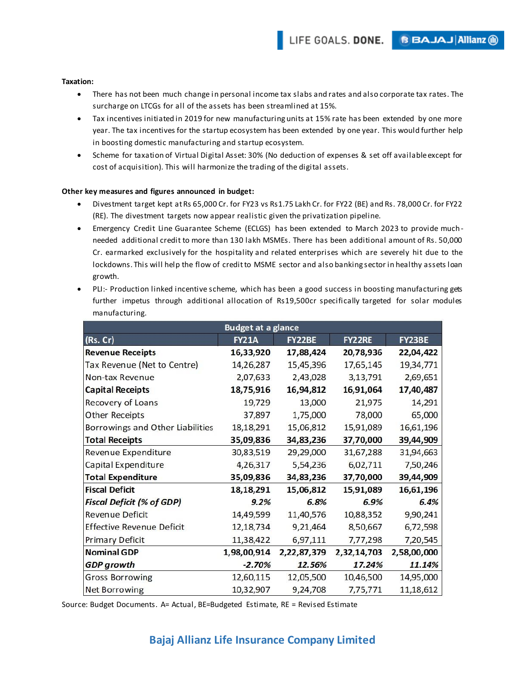### **Taxation:**

- There has not been much change in personal income tax slabs and rates and also corporate tax rates. The surcharge on LTCGs for all of the assets has been streamlined at 15%.
- Tax incentives initiated in 2019 for new manufacturing units at 15% rate has been extended by one more year. The tax incentives for the startup ecosystem has been extended by one year. This would further help in boosting domestic manufacturing and startup ecosystem.
- Scheme for taxation of Virtual Digital Asset: 30% (No deduction of expenses & set off available except for cost of acquisition). This will harmonize the trading of the digital assets.

## **Other key measures and figures announced in budget:**

- Divestment target kept at Rs 65,000 Cr. for FY23 vs Rs1.75 Lakh Cr. for FY22 (BE) and Rs. 78,000 Cr. for FY22 (RE). The divestment targets now appear realistic given the privatization pipeline.
- Emergency Credit Line Guarantee Scheme (ECLGS) has been extended to March 2023 to provide muchneeded additional credit to more than 130 lakh MSMEs. There has been additional amount of Rs. 50,000 Cr. earmarked exclusively for the hospitality and related enterprises which are severely hit due to the lockdowns. This will help the flow of credit to MSME sector and also banking sector in healthy assets loan growth.
- PLI:- Production linked incentive scheme, which has been a good success in boosting manufacturing gets further impetus through additional allocation of Rs19,500cr specifically targeted for solar modules manufacturing.

| <b>Budget at a glance</b>        |              |             |               |             |
|----------------------------------|--------------|-------------|---------------|-------------|
| (Rs. Cr)                         | <b>FY21A</b> | FY22BE      | <b>FY22RE</b> | FY23BE      |
| <b>Revenue Receipts</b>          | 16,33,920    | 17,88,424   | 20,78,936     | 22,04,422   |
| Tax Revenue (Net to Centre)      | 14,26,287    | 15,45,396   | 17,65,145     | 19,34,771   |
| Non-tax Revenue                  | 2,07,633     | 2,43,028    | 3,13,791      | 2,69,651    |
| <b>Capital Receipts</b>          | 18,75,916    | 16,94,812   | 16,91,064     | 17,40,487   |
| Recovery of Loans                | 19,729       | 13,000      | 21,975        | 14,291      |
| <b>Other Receipts</b>            | 37,897       | 1,75,000    | 78,000        | 65,000      |
| Borrowings and Other Liabilities | 18,18,291    | 15,06,812   | 15,91,089     | 16,61,196   |
| <b>Total Receipts</b>            | 35,09,836    | 34,83,236   | 37,70,000     | 39,44,909   |
| Revenue Expenditure              | 30,83,519    | 29,29,000   | 31,67,288     | 31,94,663   |
| Capital Expenditure              | 4,26,317     | 5,54,236    | 6,02,711      | 7,50,246    |
| <b>Total Expenditure</b>         | 35,09,836    | 34,83,236   | 37,70,000     | 39,44,909   |
| <b>Fiscal Deficit</b>            | 18,18,291    | 15,06,812   | 15,91,089     | 16,61,196   |
| <b>Fiscal Deficit (% of GDP)</b> | 9.2%         | 6.8%        | 6.9%          | 6.4%        |
| <b>Revenue Deficit</b>           | 14,49,599    | 11,40,576   | 10,88,352     | 9,90,241    |
| <b>Effective Revenue Deficit</b> | 12,18,734    | 9,21,464    | 8,50,667      | 6,72,598    |
| <b>Primary Deficit</b>           | 11,38,422    | 6,97,111    | 7,77,298      | 7,20,545    |
| <b>Nominal GDP</b>               | 1,98,00,914  | 2,22,87,379 | 2,32,14,703   | 2,58,00,000 |
| <b>GDP</b> growth                | $-2.70%$     | 12.56%      | 17.24%        | 11.14%      |
| <b>Gross Borrowing</b>           | 12,60,115    | 12,05,500   | 10,46,500     | 14,95,000   |
| <b>Net Borrowing</b>             | 10,32,907    | 9,24,708    | 7,75,771      | 11,18,612   |

Source: Budget Documents. A= Actual, BE=Budgeted Estimate, RE = Revised Estimate

# **Bajaj Allianz Life Insurance Company Limited**